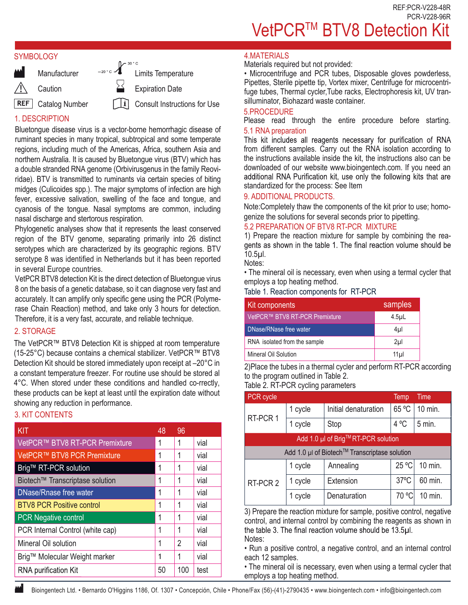#### **SYMBOLOGY**



# 1. DESCRIPTION

Bluetongue disease virus is a vector-borne hemorrhagic disease of ruminant species in many tropical, subtropical and some temperate regions, including much of the Americas, Africa, southern Asia and northern Australia. It is caused by Bluetongue virus (BTV) which has a double stranded RNA genome (Orbivirusgenus in the family Reoviridae). BTV is transmitted to ruminants via certain species of biting midges (Culicoides spp.). The major symptoms of infection are high fever, excessive salivation, swelling of the face and tongue, and cyanosis of the tongue. Nasal symptoms are common, including nasal discharge and stertorous respiration.

Phylogenetic analyses show that it represents the least conserved region of the BTV genome, separating primarily into 26 distinct serotypes which are characterized by its geographic regions. BTV serotype 8 was identified in Netherlands but it has been reported in several Europe countries.

VetPCR BTV8 detection Kit is the direct detection of Bluetongue virus 8 on the basis of a genetic database, so it can diagnose very fast and accurately. It can amplify only specific gene using the PCR (Polymerase Chain Reaction) method, and take only 3 hours for detection. Therefore, it is a very fast, accurate, and reliable technique.

## 2. STORAGE

The VetPCR™ BTV8 Detection Kit is shipped at room temperature (15-25°C) because contains a chemical stabilizer. VetPCR™ BTV8 Detection Kit should be stored immediately upon receipt at –20°C in a constant temperature freezer. For routine use should be stored al 4°C. When stored under these conditions and handled co-rrectly, these products can be kept at least until the expiration date without showing any reduction in performance.

# 3. KIT CONTENTS

| KIT                               | 48 | 96  |      |
|-----------------------------------|----|-----|------|
| VetPCR™ BTV8 RT-PCR Premixture    | 1  | 1   | vial |
| VetPCR™ BTV8 PCR Premixture       | 1  | 1   | vial |
| Brig <sup>™</sup> RT-PCR solution | 1  | 1   | vial |
| Biotech™ Transcriptase solution   | 1  | 1   | vial |
| <b>DNase/Rnase free water</b>     | 1  | 1   | vial |
| <b>BTV8 PCR Positive control</b>  | 1  | 1   | vial |
| <b>PCR Negative control</b>       | 1  | 1   | vial |
| PCR Internal Control (white cap)  | 1  | 1   | vial |
| Mineral Oil solution              | 1  | 2   | vial |
| Brig™ Molecular Weight marker     | 1  | 1   | vial |
| <b>RNA purification Kit</b>       | 50 | 100 | test |

## **4 MATFRIALS**

Materials required but not provided:

• Microcentrifuge and PCR tubes, Disposable gloves powderless, Pipettes, Sterile pipette tip, Vortex mixer, Centrifuge for microcentrifuge tubes, Thermal cycler,Tube racks, Electrophoresis kit, UV transilluminator, Biohazard waste container.

## 5.PROCEDURE

Please read through the entire procedure before starting.

5.1 RNA preparation<br>This kit includes all reagents necessary for purification of RNA from different samples. Carry out the RNA isolation according to the instructions available inside the kit, the instructions also can be downloaded of our website www.bioingentech.com. If you need an additional RNA Purification kit, use only the following kits that are standardized for the process: See Item

## 9. ADDITIONAL PRODUCTS.

Note:Completely thaw the components of the kit prior to use; homogenize the solutions for several seconds prior to pipetting.

## 5.2 PREPARATION OF BTV8 RT-PCR MIXTURE

1) Prepare the reaction mixture for sample by combining the reagents as shown in the table 1. The final reaction volume should be 10.5µl.

Notes:

• The mineral oil is necessary, even when using a termal cycler that employs a top heating method.

Table 1. Reaction components for RT-PCR

| Kit components                 | samples          |
|--------------------------------|------------------|
| VetPCR™ BTV8 RT-PCR Premixture | 4.5 <sub>µ</sub> |
| DNase/RNase free water         | 4µl              |
| RNA isolated from the sample   | 2 <sub>µ</sub>   |
| Mineral Oil Solution           | 11µl             |

2)Place the tubes in a thermal cycler and perform RT-PCR according to the program outlined in Table 2.

```
Table 2. RT-PCR cycling parameters
```

| PCR cycle                                     |                                     |                      | Temp           | <b>Time</b> |  |
|-----------------------------------------------|-------------------------------------|----------------------|----------------|-------------|--|
| RT-PCR 1                                      | 1 cycle                             | Initial denaturation | 65 °C          | 10 min.     |  |
|                                               | 1 cycle                             | Stop                 | 4 °C           | $5$ min.    |  |
|                                               | Add 1.0 µl of Brig™ RT-PCR solution |                      |                |             |  |
| Add 1.0 µl of Biotech™ Transcriptase solution |                                     |                      |                |             |  |
|                                               | 1 cycle                             | Annealing            | 25 °C          | 10 min.     |  |
| RT-PCR 2                                      | 1 cycle                             | Extension            | $37^{\circ}$ C | 60 min.     |  |
|                                               | 1 cycle                             | Denaturation         | 70 °C          | 10 min.     |  |

3) Prepare the reaction mixture for sample, positive control, negative control, and internal control by combining the reagents as shown in the table 3. The final reaction volume should be 13.5µl. Notes:

• Run a positive control, a negative control, and an internal control each 12 samples.

• The mineral oil is necessary, even when using a termal cycler that employs a top heating method.